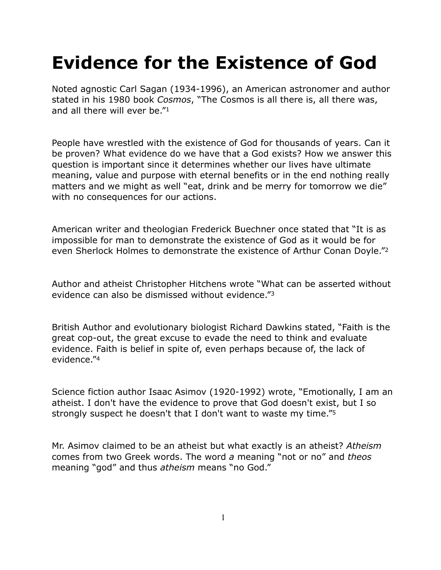# **Evidence for the Existence of God**

Noted agnostic Carl Sagan (1934-1996), an American astronomer and author stated in his 1980 book *Cosmos*, "The Cosmos is all there is, all there was, and all there will ever be."1

People have wrestled with the existence of God for thousands of years. Can it be proven? What evidence do we have that a God exists? How we answer this question is important since it determines whether our lives have ultimate meaning, value and purpose with eternal benefits or in the end nothing really matters and we might as well "eat, drink and be merry for tomorrow we die" with no consequences for our actions.

American writer and theologian Frederick Buechner once stated that "[It is as](http://thinkexist.com/quotation/it_is_as_impossible_for_man_to_demonstrate_the/206048.html)  [impossible for man to demonstrate the existence of God as it would be for](http://thinkexist.com/quotation/it_is_as_impossible_for_man_to_demonstrate_the/206048.html)  [even Sherlock Holmes to demonstrate the existence of Arthur Conan Doyle."](http://thinkexist.com/quotation/it_is_as_impossible_for_man_to_demonstrate_the/206048.html)2

Author and atheist Christopher Hitchens wrote "What can be asserted without evidence can also be dismissed without evidence."3

British Author and evolutionary biologist Richard Dawkins stated, "Faith is the great cop-out, the great excuse to evade the need to think and evaluate evidence. Faith is belief in spite of, even perhaps because of, the lack of evidence."4

Science fiction author Isaac Asimov (1920-1992) wrote, "Emotionally, I am an atheist. I don't have the evidence to prove that God doesn't exist, but I so strongly suspect he doesn't that I don't want to waste my time."5

Mr. Asimov claimed to be an atheist but what exactly is an atheist? *Atheism* comes from two Greek words. The word *a* meaning "not or no" and *theos*  meaning "god" and thus *atheism* means "no God."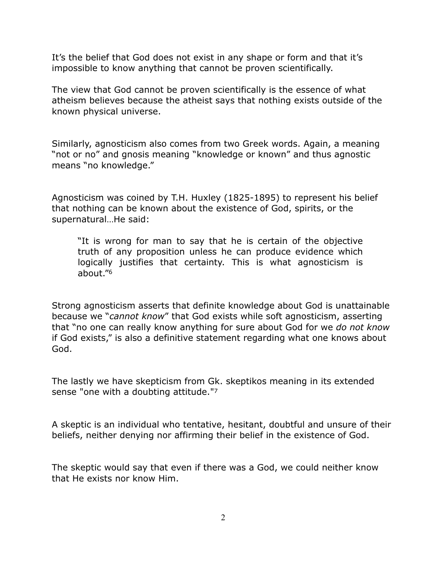It's the belief that God does not exist in any shape or form and that it's impossible to know anything that cannot be proven scientifically.

The view that God cannot be proven scientifically is the essence of what atheism believes because the atheist says that nothing exists outside of the known physical universe.

Similarly, agnosticism also comes from two Greek words. Again, a meaning "not or no" and gnosis meaning "knowledge or known" and thus agnostic means "no knowledge."

Agnosticism was coined by T.H. Huxley (1825-1895) to represent his belief that nothing can be known about the existence of God, spirits, or the supernatural…He said:

"It is wrong for man to say that he is certain of the objective truth of any proposition unless he can produce evidence which logically justifies that certainty. This is what agnosticism is about."6

Strong agnosticism asserts that definite knowledge about God is unattainable because we "*cannot know*" that God exists while soft agnosticism, asserting that "no one can really know anything for sure about God for we *do not know* if God exists," is also a definitive statement regarding what one knows about God.

The lastly we have skepticism from Gk. skeptikos meaning in its extended sense "one with a doubting attitude."7

A skeptic is an individual who tentative, hesitant, doubtful and unsure of their beliefs, neither denying nor affirming their belief in the existence of God.

The skeptic would say that even if there was a God, we could neither know that He exists nor know Him.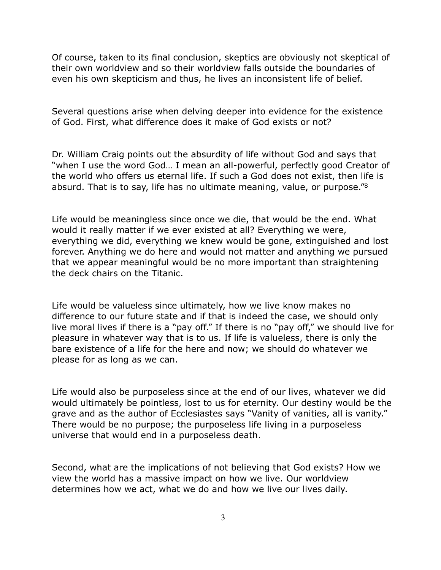Of course, taken to its final conclusion, skeptics are obviously not skeptical of their own worldview and so their worldview falls outside the boundaries of even his own skepticism and thus, he lives an inconsistent life of belief.

Several questions arise when delving deeper into evidence for the existence of God. First, what difference does it make of God exists or not?

Dr. William Craig points out the absurdity of life without God and says that "when I use the word God… I mean an all-powerful, perfectly good Creator of the world who offers us eternal life. If such a God does not exist, then life is absurd. That is to say, life has no ultimate meaning, value, or purpose."8

Life would be meaningless since once we die, that would be the end. What would it really matter if we ever existed at all? Everything we were, everything we did, everything we knew would be gone, extinguished and lost forever. Anything we do here and would not matter and anything we pursued that we appear meaningful would be no more important than straightening the deck chairs on the Titanic.

Life would be valueless since ultimately, how we live know makes no difference to our future state and if that is indeed the case, we should only live moral lives if there is a "pay off." If there is no "pay off," we should live for pleasure in whatever way that is to us. If life is valueless, there is only the bare existence of a life for the here and now; we should do whatever we please for as long as we can.

Life would also be purposeless since at the end of our lives, whatever we did would ultimately be pointless, lost to us for eternity. Our destiny would be the grave and as the author of Ecclesiastes says "Vanity of vanities, all is vanity." There would be no purpose; the purposeless life living in a purposeless universe that would end in a purposeless death.

Second, what are the implications of not believing that God exists? How we view the world has a massive impact on how we live. Our worldview determines how we act, what we do and how we live our lives daily.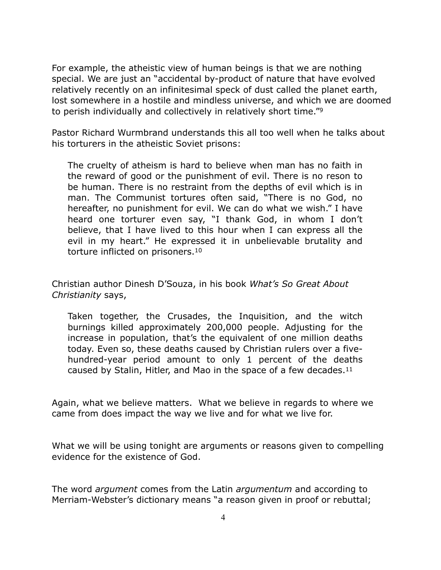For example, the atheistic view of human beings is that we are nothing special. We are just an "accidental by-product of nature that have evolved relatively recently on an infinitesimal speck of dust called the planet earth, lost somewhere in a hostile and mindless universe, and which we are doomed to perish individually and collectively in relatively short time."9

Pastor Richard Wurmbrand understands this all too well when he talks about his torturers in the atheistic Soviet prisons:

The cruelty of atheism is hard to believe when man has no faith in the reward of good or the punishment of evil. There is no reson to be human. There is no restraint from the depths of evil which is in man. The Communist tortures often said, "There is no God, no hereafter, no punishment for evil. We can do what we wish." I have heard one torturer even say, "I thank God, in whom I don't believe, that I have lived to this hour when I can express all the evil in my heart." He expressed it in unbelievable brutality and torture inflicted on prisoners.10

Christian author Dinesh D'Souza, in his book *What's So Great About Christianity* says,

Taken together, the Crusades, the Inquisition, and the witch burnings killed approximately 200,000 people. Adjusting for the increase in population, that's the equivalent of one million deaths today. Even so, these deaths caused by Christian rulers over a fivehundred-year period amount to only 1 percent of the deaths caused by Stalin, Hitler, and Mao in the space of a few decades.11

Again, what we believe matters. What we believe in regards to where we came from does impact the way we live and for what we live for.

What we will be using tonight are arguments or reasons given to compelling evidence for the existence of God.

The word *argument* comes from the Latin *argumentum* and according to Merriam-Webster's dictionary means "a reason given in proof or rebuttal;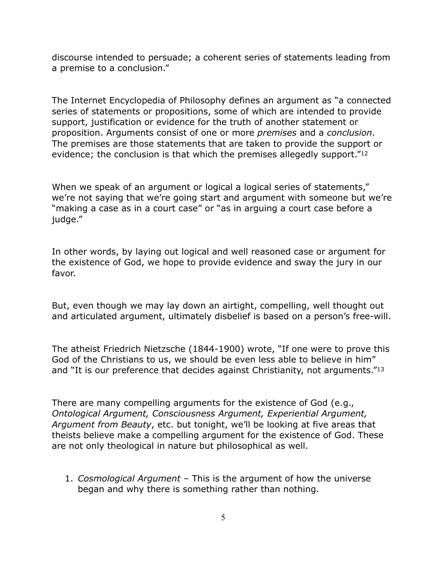discourse intended to persuade; a coherent series of statements leading from a premise to a conclusion."

The Internet Encyclopedia of Philosophy defines an argument as "a connected series of statements or propositions, some of which are intended to provide support, justification or evidence for the truth of another statement or proposition. Arguments consist of one or more *premises* and a *conclusion*. The premises are those statements that are taken to provide the support or evidence; the conclusion is that which the premises allegedly support."12

When we speak of an argument or logical a logical series of statements," we're not saying that we're going start and argument with someone but we're "making a case as in a court case" or "as in arguing a court case before a judge."

In other words, by laying out logical and well reasoned case or argument for the existence of God, we hope to provide evidence and sway the jury in our favor.

But, even though we may lay down an airtight, compelling, well thought out and articulated argument, ultimately disbelief is based on a person's free-will.

The atheist Friedrich Nietzsche (1844-1900) wrote, "If one were to prove this God of the Christians to us, we should be even less able to believe in him" and "It is our preference that decides against Christianity, not arguments."13

There are many compelling arguments for the existence of God (e.g., *Ontological Argument, Consciousness Argument, Experiential Argument, Argument from Beauty*, etc. but tonight, we'll be looking at five areas that theists believe make a compelling argument for the existence of God. These are not only theological in nature but philosophical as well.

1. *Cosmological Argument* – This is the argument of how the universe began and why there is something rather than nothing.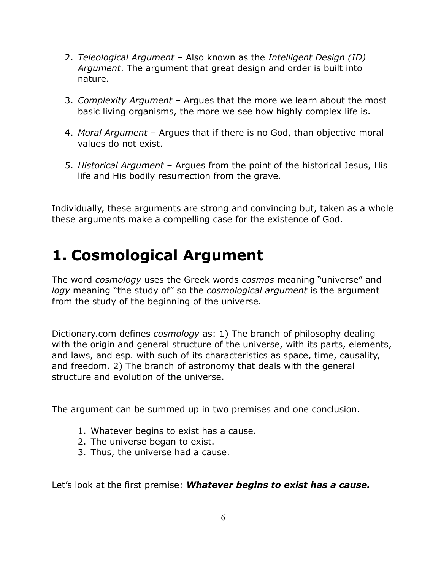- 2. *Teleological Argument* Also known as the *Intelligent Design (ID) Argument*. The argument that great design and order is built into nature.
- 3. *Complexity Argument –* Argues that the more we learn about the most basic living organisms, the more we see how highly complex life is.
- 4. *Moral Argument* Argues that if there is no God, than objective moral values do not exist.
- 5. *Historical Argument* Argues from the point of the historical Jesus, His life and His bodily resurrection from the grave.

Individually, these arguments are strong and convincing but, taken as a whole these arguments make a compelling case for the existence of God.

### **1. Cosmological Argument**

The word *cosmology* uses the Greek words *cosmos* meaning "universe" and *logy* meaning "the study of" so the *cosmological argument* is the argument from the study of the beginning of the universe.

Dictionary.com defines *cosmology* as: 1) The branch of philosophy dealing with the origin and general structure of the universe, with its parts, elements, and laws, and esp. with such of its characteristics as space, time, causality, and freedom. 2) The branch of astronomy that deals with the general structure and evolution of the universe.

The argument can be summed up in two premises and one conclusion.

- 1. Whatever begins to exist has a cause.
- 2. The universe began to exist.
- 3. Thus, the universe had a cause.

Let's look at the first premise: *Whatever begins to exist has a cause.*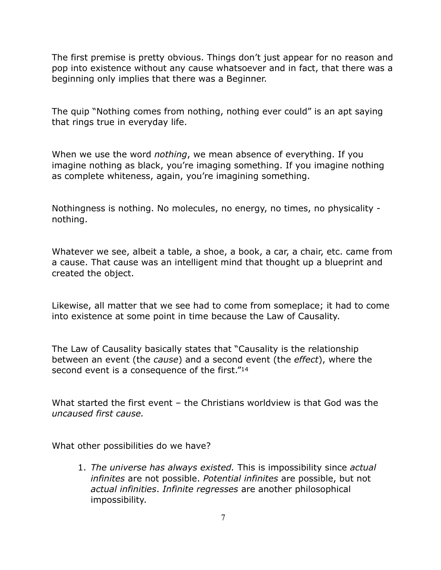The first premise is pretty obvious. Things don't just appear for no reason and pop into existence without any cause whatsoever and in fact, that there was a beginning only implies that there was a Beginner.

The quip "Nothing comes from nothing, nothing ever could" is an apt saying that rings true in everyday life.

When we use the word *nothing*, we mean absence of everything. If you imagine nothing as black, you're imaging something. If you imagine nothing as complete whiteness, again, you're imagining something.

Nothingness is nothing. No molecules, no energy, no times, no physicality nothing.

Whatever we see, albeit a table, a shoe, a book, a car, a chair, etc. came from a cause. That cause was an intelligent mind that thought up a blueprint and created the object.

Likewise, all matter that we see had to come from someplace; it had to come into existence at some point in time because the Law of Causality.

The Law of Causality basically states that "Causality is the relationship between an event (the *cause*) and a second event (the *effect*), where the second event is a consequence of the first."<sup>14</sup>

What started the first event – the Christians worldview is that God was the *uncaused first cause.*

What other possibilities do we have?

1. *The universe has always existed.* This is impossibility since *actual infinites* are not possible. *Potential infinites* are possible, but not *actual infinities*. *Infinite regresses* are another philosophical impossibility.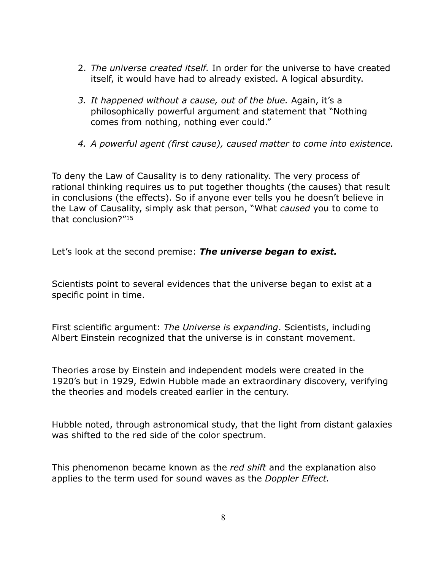- 2. *The universe created itself.* In order for the universe to have created itself, it would have had to already existed. A logical absurdity.
- *3. It happened without a cause, out of the blue.* Again, it's a philosophically powerful argument and statement that "Nothing comes from nothing, nothing ever could."
- *4. A powerful agent (first cause), caused matter to come into existence.*

To deny the Law of Causality is to deny rationality. The very process of rational thinking requires us to put together thoughts (the causes) that result in conclusions (the effects). So if anyone ever tells you he doesn't believe in the Law of Causality, simply ask that person, "What *caused* you to come to that conclusion?"15

Let's look at the second premise: *The universe began to exist.*

Scientists point to several evidences that the universe began to exist at a specific point in time.

First scientific argument: *The Universe is expanding*. Scientists, including Albert Einstein recognized that the universe is in constant movement.

Theories arose by Einstein and independent models were created in the 1920's but in 1929, Edwin Hubble made an extraordinary discovery, verifying the theories and models created earlier in the century.

Hubble noted, through astronomical study, that the light from distant galaxies was shifted to the red side of the color spectrum.

This phenomenon became known as the *red shift* and the explanation also applies to the term used for sound waves as the *Doppler Effect.*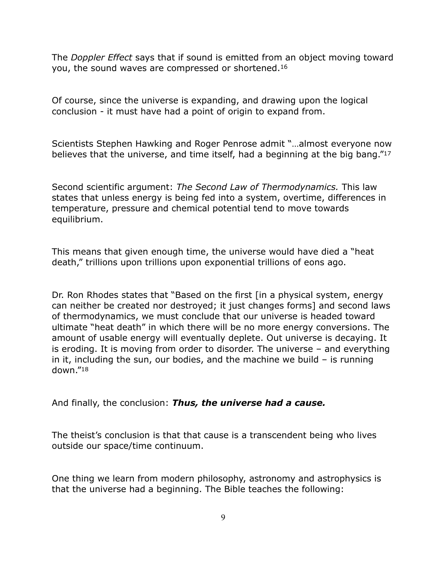The *Doppler Effect* says that if sound is emitted from an object moving toward you, the sound waves are compressed or shortened.16

Of course, since the universe is expanding, and drawing upon the logical conclusion - it must have had a point of origin to expand from.

Scientists Stephen Hawking and Roger Penrose admit "…almost everyone now believes that the universe, and time itself, had a beginning at the big bang."17

Second scientific argument: *The Second Law of Thermodynamics.* This law states that unless energy is being fed into a system, overtime, differences in temperature, pressure and chemical potential tend to move towards equilibrium.

This means that given enough time, the universe would have died a "heat death," trillions upon trillions upon exponential trillions of eons ago.

Dr. Ron Rhodes states that "Based on the first [in a physical system, energy can neither be created nor destroyed; it just changes forms] and second laws of thermodynamics, we must conclude that our universe is headed toward ultimate "heat death" in which there will be no more energy conversions. The amount of usable energy will eventually deplete. Out universe is decaying. It is eroding. It is moving from order to disorder. The universe – and everything in it, including the sun, our bodies, and the machine we build – is running down."18

And finally, the conclusion: *Thus, the universe had a cause.*

The theist's conclusion is that that cause is a transcendent being who lives outside our space/time continuum.

One thing we learn from modern philosophy, astronomy and astrophysics is that the universe had a beginning. The Bible teaches the following: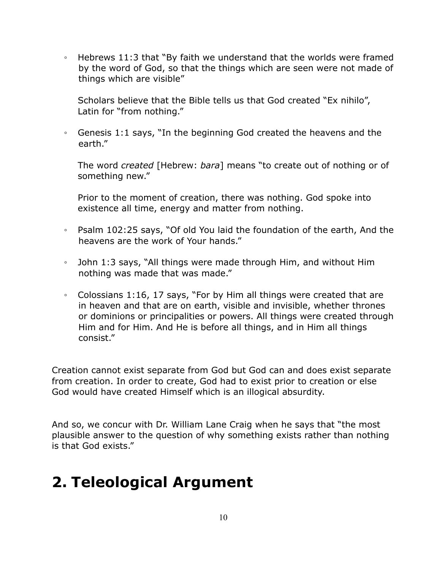◦ Hebrews 11:3 that "By faith we understand that the worlds were framed by the word of God, so that the things which are seen were not made of things which are visible"

Scholars believe that the Bible tells us that God created "Ex nihilo", Latin for "from nothing."

◦ Genesis 1:1 says, "In the beginning God created the heavens and the earth."

The word *created* [Hebrew: *bara*] means "to create out of nothing or of something new."

Prior to the moment of creation, there was nothing. God spoke into existence all time, energy and matter from nothing.

- Psalm 102:25 says, "Of old You laid the foundation of the earth, And the heavens are the work of Your hands."
- John 1:3 says, "All things were made through Him, and without Him nothing was made that was made."
- Colossians 1:16, 17 says, "For by Him all things were created that are in heaven and that are on earth, visible and invisible, whether thrones or dominions or principalities or powers. All things were created through Him and for Him. And He is before all things, and in Him all things consist."

Creation cannot exist separate from God but God can and does exist separate from creation. In order to create, God had to exist prior to creation or else God would have created Himself which is an illogical absurdity.

And so, we concur with Dr. William Lane Craig when he says that "the most plausible answer to the question of why something exists rather than nothing is that God exists."

### **2. Teleological Argument**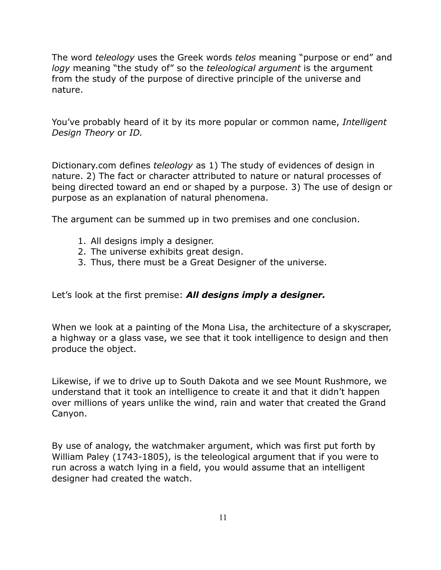The word *teleology* uses the Greek words *telos* meaning "purpose or end" and *logy* meaning "the study of" so the *teleological argument* is the argument from the study of the purpose of directive principle of the universe and nature.

You've probably heard of it by its more popular or common name, *Intelligent Design Theory* or *ID.* 

Dictionary.com defines *teleology* as 1) The study of evidences of design in nature. 2) The fact or character attributed to nature or natural processes of being directed toward an end or shaped by a purpose. 3) The use of design or purpose as an explanation of natural phenomena.

The argument can be summed up in two premises and one conclusion.

- 1. All designs imply a designer.
- 2. The universe exhibits great design.
- 3. Thus, there must be a Great Designer of the universe.

Let's look at the first premise: *All designs imply a designer.*

When we look at a painting of the Mona Lisa, the architecture of a skyscraper, a highway or a glass vase, we see that it took intelligence to design and then produce the object.

Likewise, if we to drive up to South Dakota and we see Mount Rushmore, we understand that it took an intelligence to create it and that it didn't happen over millions of years unlike the wind, rain and water that created the Grand Canyon.

By use of analogy, the watchmaker argument, which was first put forth by William Paley (1743-1805), is the teleological argument that if you were to run across a watch lying in a field, you would assume that an intelligent designer had created the watch.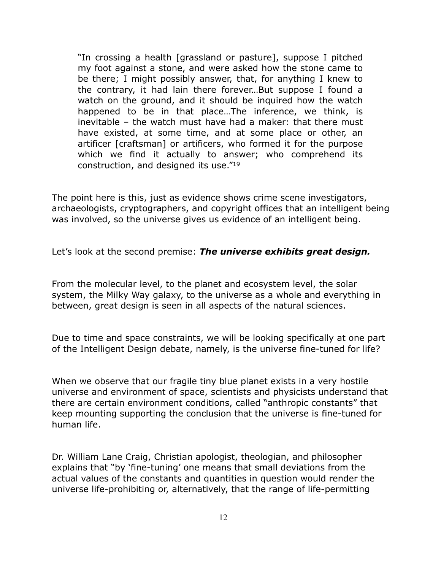"In crossing a health [grassland or pasture], suppose I pitched my foot against a stone, and were asked how the stone came to be there; I might possibly answer, that, for anything I knew to the contrary, it had lain there forever…But suppose I found a watch on the ground, and it should be inquired how the watch happened to be in that place…The inference, we think, is inevitable – the watch must have had a maker: that there must have existed, at some time, and at some place or other, an artificer [craftsman] or artificers, who formed it for the purpose which we find it actually to answer; who comprehend its construction, and designed its use."19

The point here is this, just as evidence shows crime scene investigators, archaeologists, cryptographers, and copyright offices that an intelligent being was involved, so the universe gives us evidence of an intelligent being.

Let's look at the second premise: *The universe exhibits great design.*

From the molecular level, to the planet and ecosystem level, the solar system, the Milky Way galaxy, to the universe as a whole and everything in between, great design is seen in all aspects of the natural sciences.

Due to time and space constraints, we will be looking specifically at one part of the Intelligent Design debate, namely, is the universe fine-tuned for life?

When we observe that our fragile tiny blue planet exists in a very hostile universe and environment of space, scientists and physicists understand that there are certain environment conditions, called "anthropic constants" that keep mounting supporting the conclusion that the universe is fine-tuned for human life.

Dr. William Lane Craig, Christian apologist, theologian, and philosopher explains that "by 'fine-tuning' one means that small deviations from the actual values of the constants and quantities in question would render the universe life-prohibiting or, alternatively, that the range of life-permitting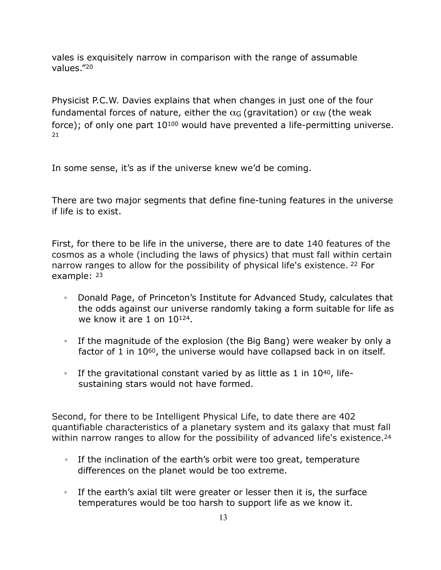vales is exquisitely narrow in comparison with the range of assumable values."20

Physicist P.C.W. Davies explains that when changes in just one of the four fundamental forces of nature, either the  $\alpha$ <sub>G</sub> (gravitation) or  $\alpha$ <sub>W</sub> (the weak force); of only one part 10<sup>100</sup> would have prevented a life-permitting universe.  $21$ 

In some sense, it's as if the universe knew we'd be coming.

There are two major segments that define fine-tuning features in the universe if life is to exist.

First, for there to be life in the universe, there are to date 140 features of the cosmos as a whole (including the laws of physics) that must fall within certain narrow ranges to allow for the possibility of physical life's existence. 22 For example: 23

- Donald Page, of Princeton's Institute for Advanced Study, calculates that the odds against our universe randomly taking a form suitable for life as we know it are 1 on 10124.
- If the magnitude of the explosion (the Big Bang) were weaker by only a factor of 1 in 1060, the universe would have collapsed back in on itself.
- If the gravitational constant varied by as little as 1 in 1040, lifesustaining stars would not have formed.

Second, for there to be Intelligent Physical Life, to date there are 402 quantifiable characteristics of a planetary system and its galaxy that must fall within narrow ranges to allow for the possibility of advanced life's existence.<sup>24</sup>

- If the inclination of the earth's orbit were too great, temperature differences on the planet would be too extreme.
- If the earth's axial tilt were greater or lesser then it is, the surface temperatures would be too harsh to support life as we know it.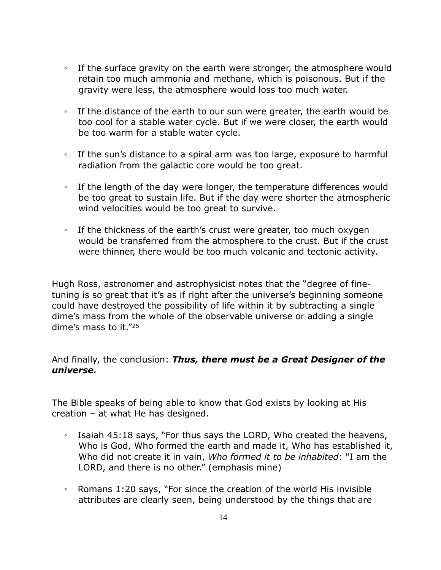- If the surface gravity on the earth were stronger, the atmosphere would retain too much ammonia and methane, which is poisonous. But if the gravity were less, the atmosphere would loss too much water.
- If the distance of the earth to our sun were greater, the earth would be too cool for a stable water cycle. But if we were closer, the earth would be too warm for a stable water cycle.
- If the sun's distance to a spiral arm was too large, exposure to harmful radiation from the galactic core would be too great.
- If the length of the day were longer, the temperature differences would be too great to sustain life. But if the day were shorter the atmospheric wind velocities would be too great to survive.
- If the thickness of the earth's crust were greater, too much oxygen would be transferred from the atmosphere to the crust. But if the crust were thinner, there would be too much volcanic and tectonic activity.

Hugh Ross, astronomer and astrophysicist notes that the "degree of finetuning is so great that it's as if right after the universe's beginning someone could have destroyed the possibility of life within it by subtracting a single dime's mass from the whole of the observable universe or adding a single dime's mass to it."25

### And finally, the conclusion: *Thus, there must be a Great Designer of the universe.*

The Bible speaks of being able to know that God exists by looking at His creation – at what He has designed.

- Isaiah 45:18 says, "For thus says the LORD, Who created the heavens, Who is God, Who formed the earth and made it, Who has established it, Who did not create it in vain, *Who formed it to be inhabited*: "I am the LORD, and there is no other." (emphasis mine)
- Romans 1:20 says, "For since the creation of the world His invisible attributes are clearly seen, being understood by the things that are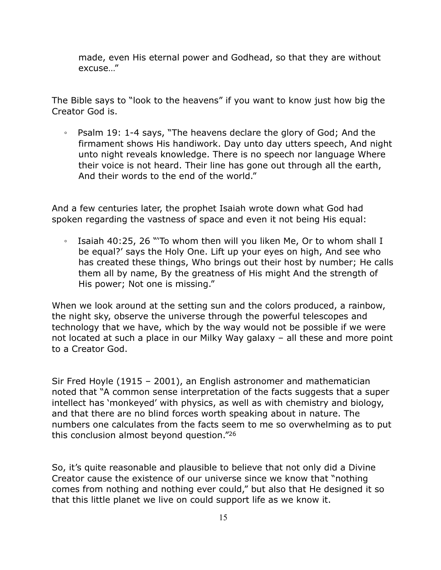made, even His eternal power and Godhead, so that they are without excuse…"

The Bible says to "look to the heavens" if you want to know just how big the Creator God is.

◦ Psalm 19: 1-4 says, "The heavens declare the glory of God; And the firmament shows His handiwork. Day unto day utters speech, And night unto night reveals knowledge. There is no speech nor language Where their voice is not heard. Their line has gone out through all the earth, And their words to the end of the world."

And a few centuries later, the prophet Isaiah wrote down what God had spoken regarding the vastness of space and even it not being His equal:

◦ Isaiah 40:25, 26 "'To whom then will you liken Me, Or to whom shall I be equal?' says the Holy One. Lift up your eyes on high, And see who has created these things, Who brings out their host by number; He calls them all by name, By the greatness of His might And the strength of His power; Not one is missing."

When we look around at the setting sun and the colors produced, a rainbow, the night sky, observe the universe through the powerful telescopes and technology that we have, which by the way would not be possible if we were not located at such a place in our Milky Way galaxy – all these and more point to a Creator God.

Sir Fred Hoyle (1915 – 2001), an English astronomer and mathematician noted that "A common sense interpretation of the facts suggests that a super intellect has 'monkeyed' with physics, as well as with chemistry and biology, and that there are no blind forces worth speaking about in nature. The numbers one calculates from the facts seem to me so overwhelming as to put this conclusion almost beyond question."26

So, it's quite reasonable and plausible to believe that not only did a Divine Creator cause the existence of our universe since we know that "nothing comes from nothing and nothing ever could," but also that He designed it so that this little planet we live on could support life as we know it.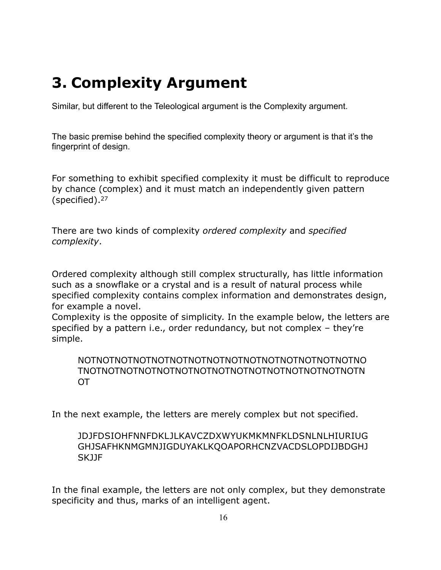## **3. Complexity Argument**

Similar, but different to the Teleological argument is the Complexity argument.

The basic premise behind the specified complexity theory or argument is that it's the fingerprint of design.

For something to exhibit specified complexity it must be difficult to reproduce by chance (complex) and it must match an independently given pattern (specified).27

There are two kinds of complexity *ordered complexity* and *specified complexity*.

Ordered complexity although still complex structurally, has little information such as a snowflake or a crystal and is a result of natural process while specified complexity contains complex information and demonstrates design, for example a novel.

Complexity is the opposite of simplicity. In the example below, the letters are specified by a pattern i.e., order redundancy, but not complex – they're simple.

NOTNOTNOTNOTNOTNOTNOTNOTNOTNOTNOTNOTNOTNOTNOTNO TNOTNOTNOTNOTNOTNOTNOTNOTNOTNOTNOTNOTNOTNOTNOTN OT

In the next example, the letters are merely complex but not specified.

### JDJFDSIOHFNNFDKLJLKAVCZDXWYUKMKMNFKLDSNLNLHIURIUG GHJSAFHKNMGMNJIGDUYAKLKQOAPORHCNZVACDSLOPDIJBDGHJ SKJJF

In the final example, the letters are not only complex, but they demonstrate specificity and thus, marks of an intelligent agent.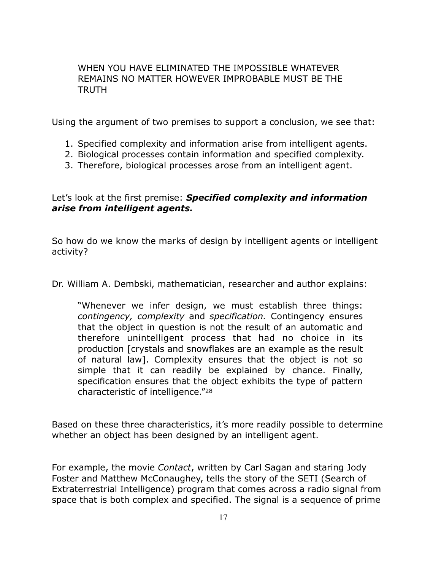#### WHEN YOU HAVE ELIMINATED THE IMPOSSIBLE WHATEVER REMAINS NO MATTER HOWEVER IMPROBABLE MUST BE THE TRUTH

Using the argument of two premises to support a conclusion, we see that:

- 1. Specified complexity and information arise from intelligent agents.
- 2. Biological processes contain information and specified complexity.
- 3. Therefore, biological processes arose from an intelligent agent.

Let's look at the first premise: *Specified complexity and information arise from intelligent agents.* 

So how do we know the marks of design by intelligent agents or intelligent activity?

Dr. William A. Dembski, mathematician, researcher and author explains:

"Whenever we infer design, we must establish three things: *contingency, complexity* and *specification.* Contingency ensures that the object in question is not the result of an automatic and therefore unintelligent process that had no choice in its production [crystals and snowflakes are an example as the result of natural law]. Complexity ensures that the object is not so simple that it can readily be explained by chance. Finally, specification ensures that the object exhibits the type of pattern characteristic of intelligence."28

Based on these three characteristics, it's more readily possible to determine whether an object has been designed by an intelligent agent.

For example, the movie *Contact*, written by Carl Sagan and staring Jody Foster and Matthew McConaughey, tells the story of the SETI (Search of Extraterrestrial Intelligence) program that comes across a radio signal from space that is both complex and specified. The signal is a sequence of prime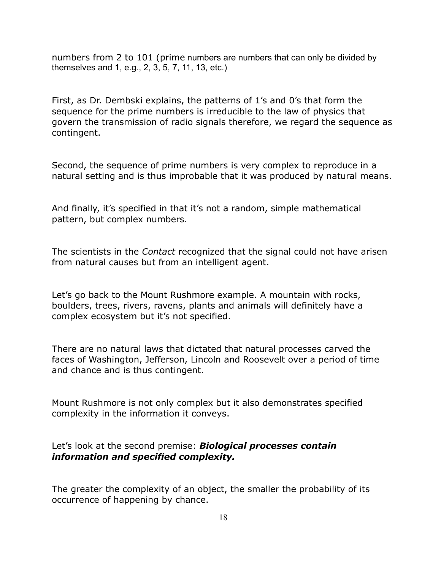numbers from 2 to 101 (prime numbers are numbers that can only be divided by themselves and 1, e.g., 2, 3, 5, 7, 11, 13, etc.)

First, as Dr. Dembski explains, the patterns of 1's and 0's that form the sequence for the prime numbers is irreducible to the law of physics that govern the transmission of radio signals therefore, we regard the sequence as contingent.

Second, the sequence of prime numbers is very complex to reproduce in a natural setting and is thus improbable that it was produced by natural means.

And finally, it's specified in that it's not a random, simple mathematical pattern, but complex numbers.

The scientists in the *Contact* recognized that the signal could not have arisen from natural causes but from an intelligent agent.

Let's go back to the Mount Rushmore example. A mountain with rocks, boulders, trees, rivers, ravens, plants and animals will definitely have a complex ecosystem but it's not specified.

There are no natural laws that dictated that natural processes carved the faces of Washington, Jefferson, Lincoln and Roosevelt over a period of time and chance and is thus contingent.

Mount Rushmore is not only complex but it also demonstrates specified complexity in the information it conveys.

### Let's look at the second premise: *Biological processes contain information and specified complexity.*

The greater the complexity of an object, the smaller the probability of its occurrence of happening by chance.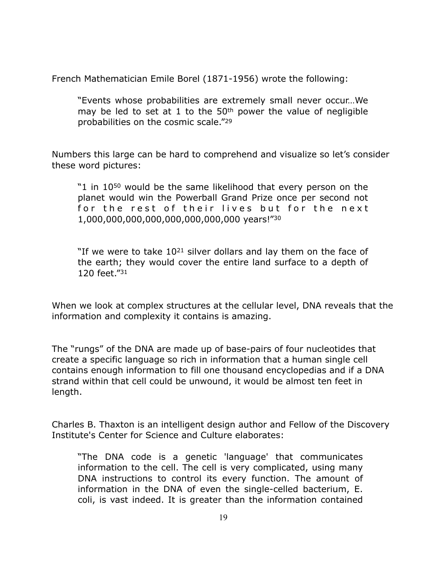French Mathematician Emile Borel (1871-1956) wrote the following:

"Events whose probabilities are extremely small never occur…We may be led to set at 1 to the 50th power the value of negligible probabilities on the cosmic scale."29

Numbers this large can be hard to comprehend and visualize so let's consider these word pictures:

"1 in 10<sup>50</sup> would be the same likelihood that every person on the planet would win the Powerball Grand Prize once per second not for the rest of their lives but for the next 1,000,000,000,000,000,000,000,000 years!"30

"If we were to take  $10^{21}$  silver dollars and lay them on the face of the earth; they would cover the entire land surface to a depth of 120 feet."31

When we look at complex structures at the cellular level, DNA reveals that the information and complexity it contains is amazing.

The "rungs" of the DNA are made up of base-pairs of four nucleotides that create a specific language so rich in information that a human single cell contains enough information to fill one thousand encyclopedias and if a DNA strand within that cell could be unwound, it would be almost ten feet in length.

Charles B. Thaxton is an intelligent design author and Fellow of the Discovery Institute's Center for Science and Culture elaborates:

"The DNA code is a genetic 'language' that communicates information to the cell. The cell is very complicated, using many DNA instructions to control its every function. The amount of information in the DNA of even the single-celled bacterium, E. coli, is vast indeed. It is greater than the information contained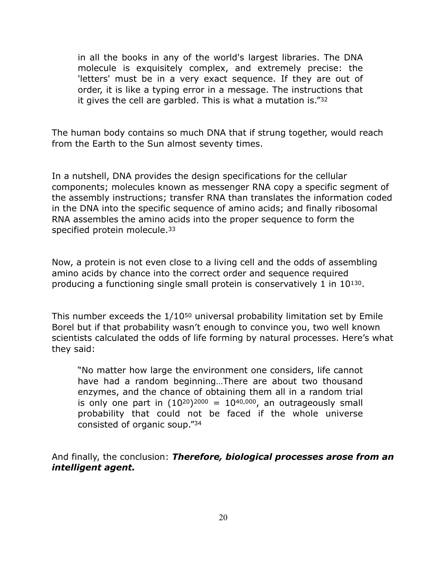in all the books in any of the world's largest libraries. The DNA molecule is exquisitely complex, and extremely precise: the 'letters' must be in a very exact sequence. If they are out of order, it is like a typing error in a message. The instructions that it gives the cell are garbled. This is what a mutation is."32

The human body contains so much DNA that if strung together, would reach from the Earth to the Sun almost seventy times.

In a nutshell, DNA provides the design specifications for the cellular components; molecules known as messenger RNA copy a specific segment of the assembly instructions; transfer RNA than translates the information coded in the DNA into the specific sequence of amino acids; and finally ribosomal RNA assembles the amino acids into the proper sequence to form the specified protein molecule.<sup>33</sup>

Now, a protein is not even close to a living cell and the odds of assembling amino acids by chance into the correct order and sequence required producing a functioning single small protein is conservatively 1 in 10130.

This number exceeds the 1/10<sup>50</sup> universal probability limitation set by Emile Borel but if that probability wasn't enough to convince you, two well known scientists calculated the odds of life forming by natural processes. Here's what they said:

"No matter how large the environment one considers, life cannot have had a random beginning…There are about two thousand enzymes, and the chance of obtaining them all in a random trial is only one part in  $(10^{20})^{2000} = 10^{40,000}$ , an outrageously small probability that could not be faced if the whole universe consisted of organic soup."34

And finally, the conclusion: *Therefore, biological processes arose from an intelligent agent.*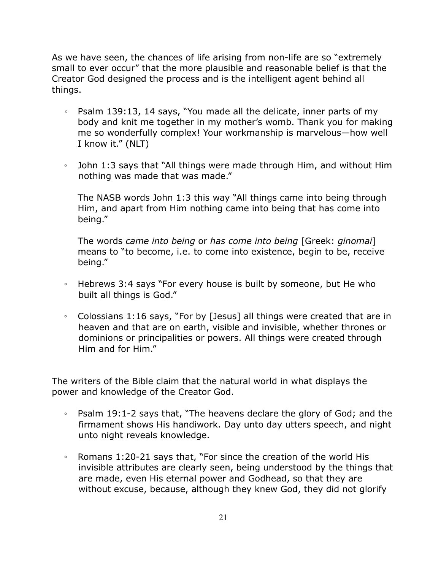As we have seen, the chances of life arising from non-life are so "extremely small to ever occur" that the more plausible and reasonable belief is that the Creator God designed the process and is the intelligent agent behind all things.

- Psalm 139:13, 14 says, "You made all the delicate, inner parts of my body and knit me together in my mother's womb. Thank you for making me so wonderfully complex! Your workmanship is marvelous—how well I know it." (NLT)
- John 1:3 says that "All things were made through Him, and without Him nothing was made that was made."

The NASB words John 1:3 this way "All things came into being through Him, and apart from Him nothing came into being that has come into being."

The words *came into being* or *has come into being* [Greek: *ginomai*] means to "to become, i.e. to come into existence, begin to be, receive being."

- Hebrews 3:4 says "For every house is built by someone, but He who built all things is God."
- Colossians 1:16 says, "For by [Jesus] all things were created that are in heaven and that are on earth, visible and invisible, whether thrones or dominions or principalities or powers. All things were created through Him and for Him."

The writers of the Bible claim that the natural world in what displays the power and knowledge of the Creator God.

- Psalm 19:1-2 says that, "The heavens declare the glory of God; and the firmament shows His handiwork. Day unto day utters speech, and night unto night reveals knowledge.
- Romans 1:20-21 says that, "For since the creation of the world His invisible attributes are clearly seen, being understood by the things that are made, even His eternal power and Godhead, so that they are without excuse, because, although they knew God, they did not glorify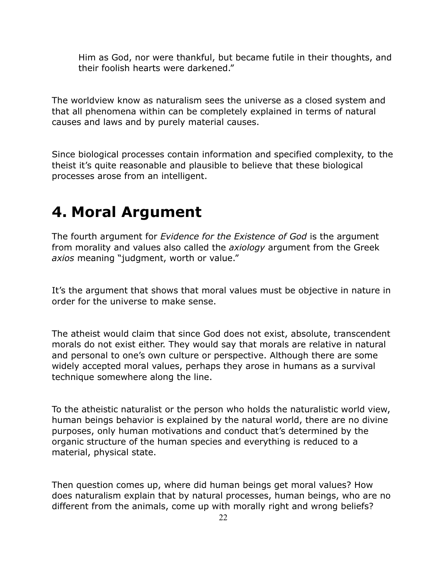Him as God, nor were thankful, but became futile in their thoughts, and their foolish hearts were darkened."

The worldview know as naturalism sees the universe as a closed system and that all phenomena within can be completely explained in terms of natural causes and laws and by purely material causes.

Since biological processes contain information and specified complexity, to the theist it's quite reasonable and plausible to believe that these biological processes arose from an intelligent.

### **4. Moral Argument**

The fourth argument for *Evidence for the Existence of God* is the argument from morality and values also called the *axiology* argument from the Greek *axios* meaning "judgment, worth or value."

It's the argument that shows that moral values must be objective in nature in order for the universe to make sense.

The atheist would claim that since God does not exist, absolute, transcendent morals do not exist either. They would say that morals are relative in natural and personal to one's own culture or perspective. Although there are some widely accepted moral values, perhaps they arose in humans as a survival technique somewhere along the line.

To the atheistic naturalist or the person who holds the naturalistic world view, human beings behavior is explained by the natural world, there are no divine purposes, only human motivations and conduct that's determined by the organic structure of the human species and everything is reduced to a material, physical state.

Then question comes up, where did human beings get moral values? How does naturalism explain that by natural processes, human beings, who are no different from the animals, come up with morally right and wrong beliefs?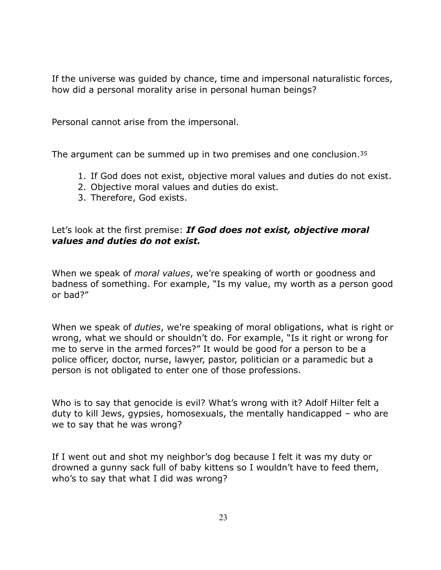If the universe was guided by chance, time and impersonal naturalistic forces, how did a personal morality arise in personal human beings?

Personal cannot arise from the impersonal.

The argument can be summed up in two premises and one conclusion.<sup>35</sup>

- 1. If God does not exist, objective moral values and duties do not exist.
- 2. Objective moral values and duties do exist.
- 3. Therefore, God exists.

### Let's look at the first premise: *If God does not exist, objective moral values and duties do not exist.*

When we speak of *moral values*, we're speaking of worth or goodness and badness of something. For example, "Is my value, my worth as a person good or bad?"

When we speak of *duties*, we're speaking of moral obligations, what is right or wrong, what we should or shouldn't do. For example, "Is it right or wrong for me to serve in the armed forces?" It would be good for a person to be a police officer, doctor, nurse, lawyer, pastor, politician or a paramedic but a person is not obligated to enter one of those professions.

Who is to say that genocide is evil? What's wrong with it? Adolf Hilter felt a duty to kill Jews, gypsies, homosexuals, the mentally handicapped – who are we to say that he was wrong?

If I went out and shot my neighbor's dog because I felt it was my duty or drowned a gunny sack full of baby kittens so I wouldn't have to feed them, who's to say that what I did was wrong?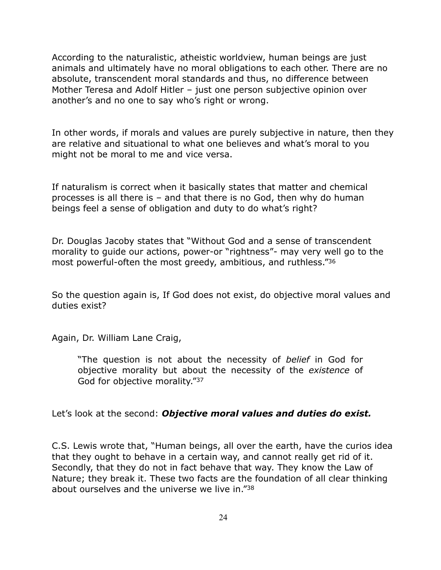According to the naturalistic, atheistic worldview, human beings are just animals and ultimately have no moral obligations to each other. There are no absolute, transcendent moral standards and thus, no difference between Mother Teresa and Adolf Hitler – just one person subjective opinion over another's and no one to say who's right or wrong.

In other words, if morals and values are purely subjective in nature, then they are relative and situational to what one believes and what's moral to you might not be moral to me and vice versa.

If naturalism is correct when it basically states that matter and chemical processes is all there is – and that there is no God, then why do human beings feel a sense of obligation and duty to do what's right?

Dr. Douglas Jacoby states that "Without God and a sense of transcendent morality to guide our actions, power-or "rightness"- may very well go to the most powerful-often the most greedy, ambitious, and ruthless."36

So the question again is, If God does not exist, do objective moral values and duties exist?

Again, Dr. William Lane Craig,

"The question is not about the necessity of *belief* in God for objective morality but about the necessity of the *existence* of God for objective morality."37

Let's look at the second: *Objective moral values and duties do exist.* 

C.S. Lewis wrote that, "Human beings, all over the earth, have the curios idea that they ought to behave in a certain way, and cannot really get rid of it. Secondly, that they do not in fact behave that way. They know the Law of Nature; they break it. These two facts are the foundation of all clear thinking about ourselves and the universe we live in."38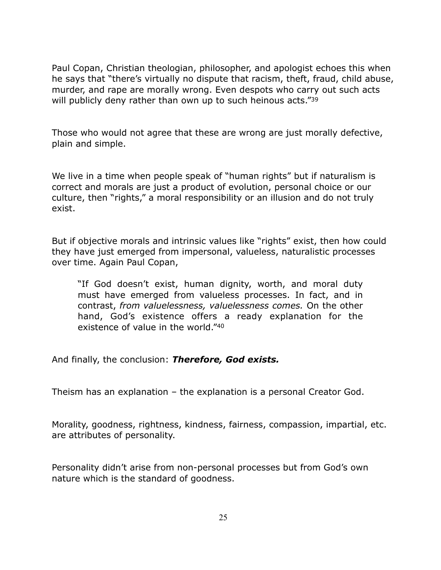Paul Copan, Christian theologian, philosopher, and apologist echoes this when he says that "there's virtually no dispute that racism, theft, fraud, child abuse, murder, and rape are morally wrong. Even despots who carry out such acts will publicly deny rather than own up to such heinous acts."39

Those who would not agree that these are wrong are just morally defective, plain and simple.

We live in a time when people speak of "human rights" but if naturalism is correct and morals are just a product of evolution, personal choice or our culture, then "rights," a moral responsibility or an illusion and do not truly exist.

But if objective morals and intrinsic values like "rights" exist, then how could they have just emerged from impersonal, valueless, naturalistic processes over time. Again Paul Copan,

"If God doesn't exist, human dignity, worth, and moral duty must have emerged from valueless processes. In fact, and in contrast, *from valuelessness, valuelessness comes.* On the other hand, God's existence offers a ready explanation for the existence of value in the world."40

And finally, the conclusion: *Therefore, God exists.*

Theism has an explanation – the explanation is a personal Creator God.

Morality, goodness, rightness, kindness, fairness, compassion, impartial, etc. are attributes of personality.

Personality didn't arise from non-personal processes but from God's own nature which is the standard of goodness.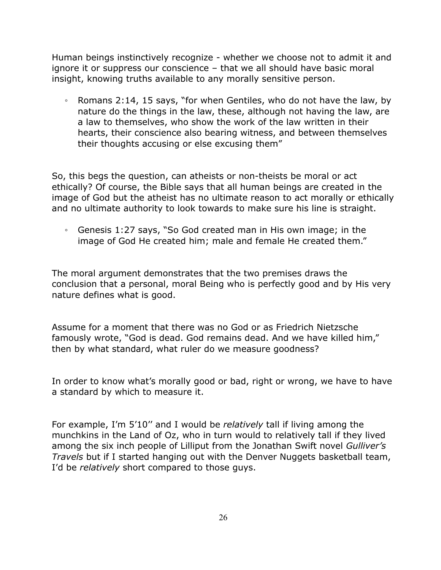Human beings instinctively recognize - whether we choose not to admit it and ignore it or suppress our conscience – that we all should have basic moral insight, knowing truths available to any morally sensitive person.

◦ Romans 2:14, 15 says, "for when Gentiles, who do not have the law, by nature do the things in the law, these, although not having the law, are a law to themselves, who show the work of the law written in their hearts, their conscience also bearing witness, and between themselves their thoughts accusing or else excusing them"

So, this begs the question, can atheists or non-theists be moral or act ethically? Of course, the Bible says that all human beings are created in the image of God but the atheist has no ultimate reason to act morally or ethically and no ultimate authority to look towards to make sure his line is straight.

◦ Genesis 1:27 says, "So God created man in His own image; in the image of God He created him; male and female He created them."

The moral argument demonstrates that the two premises draws the conclusion that a personal, moral Being who is perfectly good and by His very nature defines what is good.

Assume for a moment that there was no God or as Friedrich Nietzsche famously wrote, "God is dead. God remains dead. And we have killed him," then by what standard, what ruler do we measure goodness?

In order to know what's morally good or bad, right or wrong, we have to have a standard by which to measure it.

For example, I'm 5'10'' and I would be *relatively* tall if living among the munchkins in the Land of Oz, who in turn would to relatively tall if they lived among the six inch people of Lilliput from the Jonathan Swift novel *Gulliver's Travels* but if I started hanging out with the Denver Nuggets basketball team, I'd be *relatively* short compared to those guys.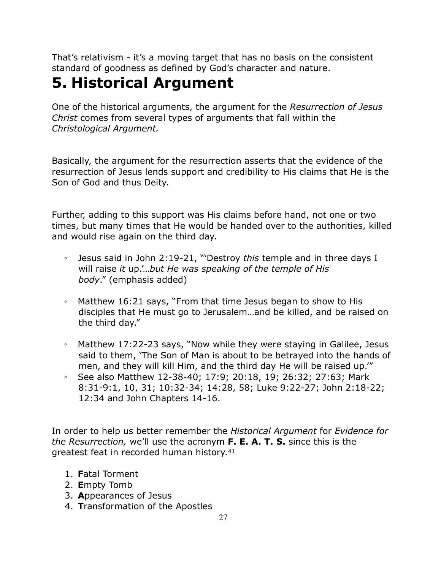That's relativism - it's a moving target that has no basis on the consistent standard of goodness as defined by God's character and nature.

## **5. Historical Argument**

One of the historical arguments, the argument for the *Resurrection of Jesus Christ* comes from several types of arguments that fall within the *Christological Argument.*

Basically, the argument for the resurrection asserts that the evidence of the resurrection of Jesus lends support and credibility to His claims that He is the Son of God and thus Deity.

Further, adding to this support was His claims before hand, not one or two times, but many times that He would be handed over to the authorities, killed and would rise again on the third day.

- Jesus said in John 2:19-21, "'Destroy *this* temple and in three days I will raise *it* up.'…*but He was speaking of the temple of His body*." (emphasis added)
- Matthew 16:21 says, "From that time Jesus began to show to His disciples that He must go to Jerusalem…and be killed, and be raised on the third day."
- Matthew 17:22-23 says, "Now while they were staying in Galilee, Jesus said to them, 'The Son of Man is about to be betrayed into the hands of men, and they will kill Him, and the third day He will be raised up.'"
- See also Matthew 12-38-40; 17:9; 20:18, 19; 26:32; 27:63; Mark 8:31-9:1, 10, 31; 10:32-34; 14:28, 58; Luke 9:22-27; John 2:18-22; 12:34 and John Chapters 14-16.

In order to help us better remember the *Historical Argument* for *Evidence for the Resurrection,* we'll use the acronym **F. E. A. T. S.** since this is the greatest feat in recorded human history.41

- 1. **F**atal Torment
- 2. **E**mpty Tomb
- 3. **A**ppearances of Jesus
- 4. **T**ransformation of the Apostles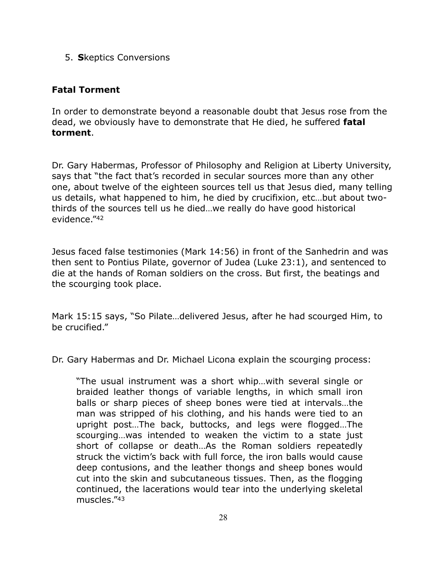5. **S**keptics Conversions

### **Fatal Torment**

In order to demonstrate beyond a reasonable doubt that Jesus rose from the dead, we obviously have to demonstrate that He died, he suffered **fatal torment**.

Dr. Gary Habermas, Professor of Philosophy and Religion at Liberty University, says that "the fact that's recorded in secular sources more than any other one, about twelve of the eighteen sources tell us that Jesus died, many telling us details, what happened to him, he died by crucifixion, etc…but about twothirds of the sources tell us he died…we really do have good historical evidence."42

Jesus faced false testimonies (Mark 14:56) in front of the Sanhedrin and was then sent to Pontius Pilate, governor of Judea (Luke 23:1), and sentenced to die at the hands of Roman soldiers on the cross. But first, the beatings and the scourging took place.

Mark 15:15 says, "So Pilate…delivered Jesus, after he had scourged Him, to be crucified."

Dr. Gary Habermas and Dr. Michael Licona explain the scourging process:

"The usual instrument was a short whip…with several single or braided leather thongs of variable lengths, in which small iron balls or sharp pieces of sheep bones were tied at intervals…the man was stripped of his clothing, and his hands were tied to an upright post…The back, buttocks, and legs were flogged…The scourging...was intended to weaken the victim to a state just short of collapse or death…As the Roman soldiers repeatedly struck the victim's back with full force, the iron balls would cause deep contusions, and the leather thongs and sheep bones would cut into the skin and subcutaneous tissues. Then, as the flogging continued, the lacerations would tear into the underlying skeletal muscles."43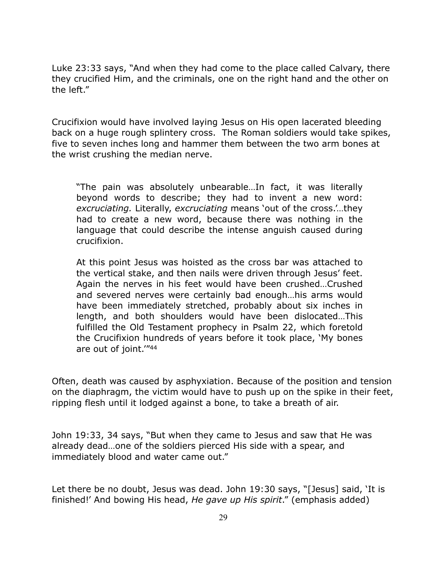Luke 23:33 says, "And when they had come to the place called Calvary, there they crucified Him, and the criminals, one on the right hand and the other on the left."

Crucifixion would have involved laying Jesus on His open lacerated bleeding back on a huge rough splintery cross. The Roman soldiers would take spikes, five to seven inches long and hammer them between the two arm bones at the wrist crushing the median nerve.

"The pain was absolutely unbearable…In fact, it was literally beyond words to describe; they had to invent a new word: *excruciating.* Literally, *excruciating* means 'out of the cross.'…they had to create a new word, because there was nothing in the language that could describe the intense anguish caused during crucifixion.

At this point Jesus was hoisted as the cross bar was attached to the vertical stake, and then nails were driven through Jesus' feet. Again the nerves in his feet would have been crushed…Crushed and severed nerves were certainly bad enough…his arms would have been immediately stretched, probably about six inches in length, and both shoulders would have been dislocated…This fulfilled the Old Testament prophecy in Psalm 22, which foretold the Crucifixion hundreds of years before it took place, 'My bones are out of joint.'"44

Often, death was caused by asphyxiation. Because of the position and tension on the diaphragm, the victim would have to push up on the spike in their feet, ripping flesh until it lodged against a bone, to take a breath of air.

John 19:33, 34 says, "But when they came to Jesus and saw that He was already dead…one of the soldiers pierced His side with a spear, and immediately blood and water came out."

Let there be no doubt, Jesus was dead. John 19:30 says, "[Jesus] said, 'It is finished!' And bowing His head, *He gave up His spirit*." (emphasis added)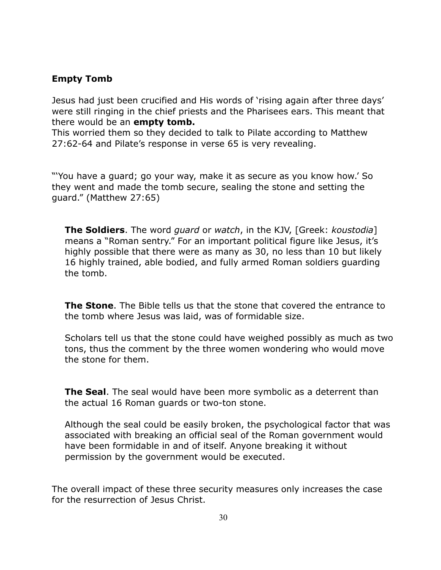### **Empty Tomb**

Jesus had just been crucified and His words of 'rising again after three days' were still ringing in the chief priests and the Pharisees ears. This meant that there would be an **empty tomb.**

This worried them so they decided to talk to Pilate according to Matthew 27:62-64 and Pilate's response in verse 65 is very revealing.

"'You have a guard; go your way, make it as secure as you know how.' So they went and made the tomb secure, sealing the stone and setting the guard." (Matthew 27:65)

**The Soldiers**. The word *guard* or *watch*, in the KJV, [Greek: *koustodia*] means a "Roman sentry." For an important political figure like Jesus, it's highly possible that there were as many as 30, no less than 10 but likely 16 highly trained, able bodied, and fully armed Roman soldiers guarding the tomb.

**The Stone**. The Bible tells us that the stone that covered the entrance to the tomb where Jesus was laid, was of formidable size.

Scholars tell us that the stone could have weighed possibly as much as two tons, thus the comment by the three women wondering who would move the stone for them.

**The Seal**. The seal would have been more symbolic as a deterrent than the actual 16 Roman guards or two-ton stone.

Although the seal could be easily broken, the psychological factor that was associated with breaking an official seal of the Roman government would have been formidable in and of itself. Anyone breaking it without permission by the government would be executed.

The overall impact of these three security measures only increases the case for the resurrection of Jesus Christ.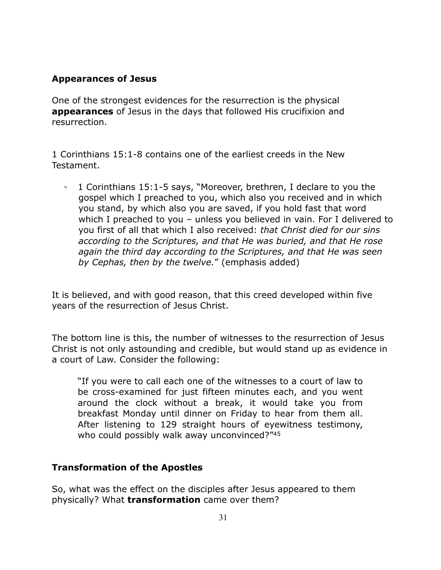### **Appearances of Jesus**

One of the strongest evidences for the resurrection is the physical **appearances** of Jesus in the days that followed His crucifixion and resurrection.

1 Corinthians 15:1-8 contains one of the earliest creeds in the New Testament.

◦ 1 Corinthians 15:1-5 says, "Moreover, brethren, I declare to you the gospel which I preached to you, which also you received and in which you stand, by which also you are saved, if you hold fast that word which I preached to you – unless you believed in vain. For I delivered to you first of all that which I also received: *that Christ died for our sins according to the Scriptures, and that He was buried, and that He rose again the third day according to the Scriptures, and that He was seen by Cephas, then by the twelve.*" (emphasis added)

It is believed, and with good reason, that this creed developed within five years of the resurrection of Jesus Christ.

The bottom line is this, the number of witnesses to the resurrection of Jesus Christ is not only astounding and credible, but would stand up as evidence in a court of Law. Consider the following:

"If you were to call each one of the witnesses to a court of law to be cross-examined for just fifteen minutes each, and you went around the clock without a break, it would take you from breakfast Monday until dinner on Friday to hear from them all. After listening to 129 straight hours of eyewitness testimony, who could possibly walk away unconvinced?"45

### **Transformation of the Apostles**

So, what was the effect on the disciples after Jesus appeared to them physically? What **transformation** came over them?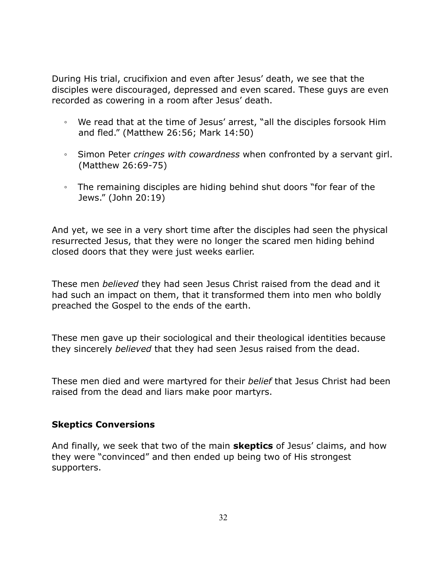During His trial, crucifixion and even after Jesus' death, we see that the disciples were discouraged, depressed and even scared. These guys are even recorded as cowering in a room after Jesus' death.

- We read that at the time of Jesus' arrest, "all the disciples forsook Him and fled." (Matthew 26:56; Mark 14:50)
- Simon Peter *cringes with cowardness* when confronted by a servant girl. (Matthew 26:69-75)
- The remaining disciples are hiding behind shut doors "for fear of the Jews." (John 20:19)

And yet, we see in a very short time after the disciples had seen the physical resurrected Jesus, that they were no longer the scared men hiding behind closed doors that they were just weeks earlier.

These men *believed* they had seen Jesus Christ raised from the dead and it had such an impact on them, that it transformed them into men who boldly preached the Gospel to the ends of the earth.

These men gave up their sociological and their theological identities because they sincerely *believed* that they had seen Jesus raised from the dead.

These men died and were martyred for their *belief* that Jesus Christ had been raised from the dead and liars make poor martyrs.

### **Skeptics Conversions**

And finally, we seek that two of the main **skeptics** of Jesus' claims, and how they were "convinced" and then ended up being two of His strongest supporters.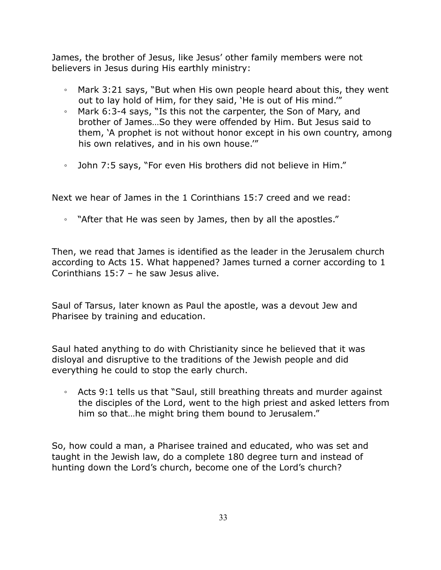James, the brother of Jesus, like Jesus' other family members were not believers in Jesus during His earthly ministry:

- Mark 3:21 says, "But when His own people heard about this, they went out to lay hold of Him, for they said, 'He is out of His mind.'"
- Mark 6:3-4 says, "Is this not the carpenter, the Son of Mary, and brother of James…So they were offended by Him. But Jesus said to them, 'A prophet is not without honor except in his own country, among his own relatives, and in his own house.'"
- John 7:5 says, "For even His brothers did not believe in Him."

Next we hear of James in the 1 Corinthians 15:7 creed and we read:

◦ "After that He was seen by James, then by all the apostles."

Then, we read that James is identified as the leader in the Jerusalem church according to Acts 15. What happened? James turned a corner according to 1 Corinthians 15:7 – he saw Jesus alive.

Saul of Tarsus, later known as Paul the apostle, was a devout Jew and Pharisee by training and education.

Saul hated anything to do with Christianity since he believed that it was disloyal and disruptive to the traditions of the Jewish people and did everything he could to stop the early church.

◦ Acts 9:1 tells us that "Saul, still breathing threats and murder against the disciples of the Lord, went to the high priest and asked letters from him so that…he might bring them bound to Jerusalem."

So, how could a man, a Pharisee trained and educated, who was set and taught in the Jewish law, do a complete 180 degree turn and instead of hunting down the Lord's church, become one of the Lord's church?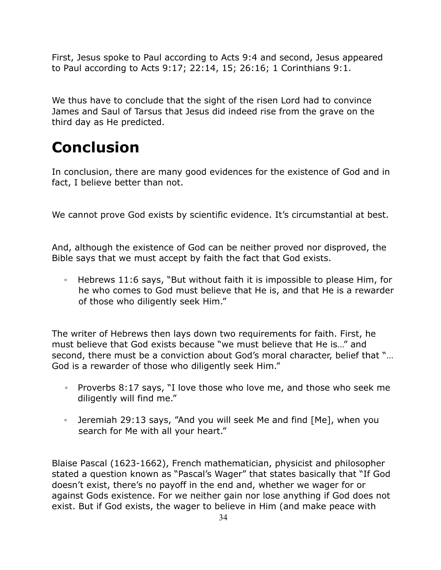First, Jesus spoke to Paul according to Acts 9:4 and second, Jesus appeared to Paul according to Acts 9:17; 22:14, 15; 26:16; 1 Corinthians 9:1.

We thus have to conclude that the sight of the risen Lord had to convince James and Saul of Tarsus that Jesus did indeed rise from the grave on the third day as He predicted.

## **Conclusion**

In conclusion, there are many good evidences for the existence of God and in fact, I believe better than not.

We cannot prove God exists by scientific evidence. It's circumstantial at best.

And, although the existence of God can be neither proved nor disproved, the Bible says that we must accept by faith the fact that God exists.

◦ Hebrews 11:6 says, "But without faith it is impossible to please Him, for he who comes to God must believe that He is, and that He is a rewarder of those who diligently seek Him."

The writer of Hebrews then lays down two requirements for faith. First, he must believe that God exists because "we must believe that He is…" and second, there must be a conviction about God's moral character, belief that "… God is a rewarder of those who diligently seek Him."

- Proverbs 8:17 says, "I love those who love me, and those who seek me diligently will find me."
- Jeremiah 29:13 says, "And you will seek Me and find [Me], when you search for Me with all your heart."

Blaise Pascal (1623-1662), French mathematician, physicist and philosopher stated a question known as "Pascal's Wager" that states basically that "If God doesn't exist, there's no payoff in the end and, whether we wager for or against Gods existence. For we neither gain nor lose anything if God does not exist. But if God exists, the wager to believe in Him (and make peace with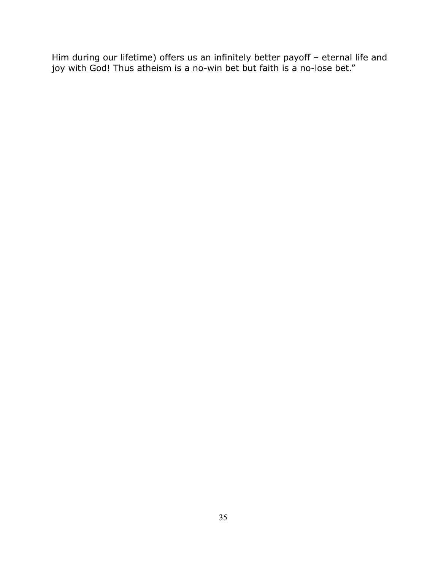Him during our lifetime) offers us an infinitely better payoff – eternal life and joy with God! Thus atheism is a no-win bet but faith is a no-lose bet."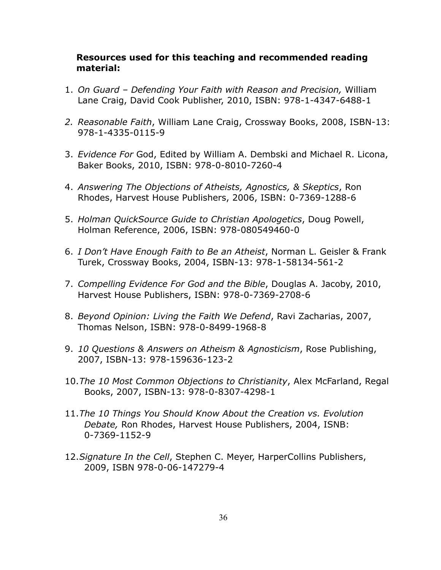#### **Resources used for this teaching and recommended reading material:**

- 1. *On Guard Defending Your Faith with Reason and Precision,* William Lane Craig, David Cook Publisher, 2010, ISBN: 978-1-4347-6488-1
- *2. Reasonable Faith*, William Lane Craig, Crossway Books, 2008, ISBN-13: 978-1-4335-0115-9
- 3. *Evidence For* God, Edited by William A. Dembski and Michael R. Licona, Baker Books, 2010, ISBN: 978-0-8010-7260-4
- 4. *Answering The Objections of Atheists, Agnostics, & Skeptics*, Ron Rhodes, Harvest House Publishers, 2006, ISBN: 0-7369-1288-6
- 5. *Holman QuickSource Guide to Christian Apologetics*, Doug Powell, Holman Reference, 2006, ISBN: 978-080549460-0
- 6. *I Don't Have Enough Faith to Be an Atheist*, Norman L. Geisler & Frank Turek, Crossway Books, 2004, ISBN-13: 978-1-58134-561-2
- 7. *Compelling Evidence For God and the Bible*, Douglas A. Jacoby, 2010, Harvest House Publishers, ISBN: 978-0-7369-2708-6
- 8. *Beyond Opinion: Living the Faith We Defend*, Ravi Zacharias, 2007, Thomas Nelson, ISBN: 978-0-8499-1968-8
- 9. *10 Questions & Answers on Atheism & Agnosticism*, Rose Publishing, 2007, ISBN-13: 978-159636-123-2
- 10.*The 10 Most Common Objections to Christianity*, Alex McFarland, Regal Books, 2007, ISBN-13: 978-0-8307-4298-1
- 11.*The 10 Things You Should Know About the Creation vs. Evolution Debate,* Ron Rhodes, Harvest House Publishers, 2004, ISNB: 0-7369-1152-9
- 12.*Signature In the Cell*, Stephen C. Meyer, HarperCollins Publishers, 2009, ISBN 978-0-06-147279-4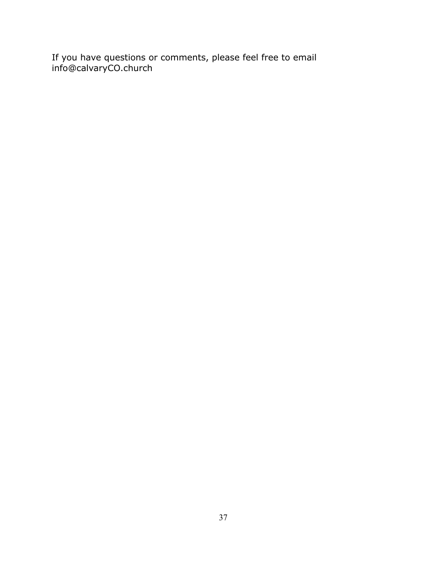If you have questions or comments, please feel free to email info@calvaryCO.church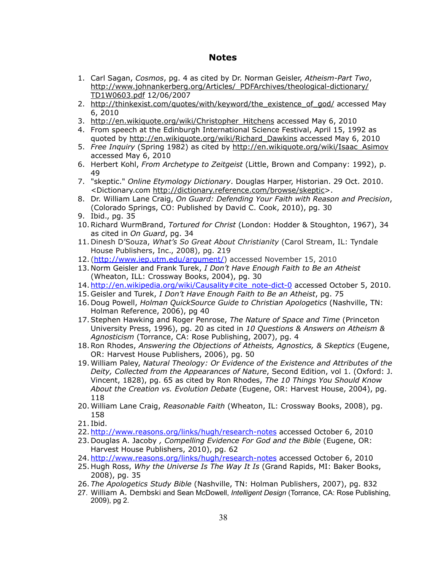#### **Notes**

- 1. Carl Sagan, *Cosmos*, pg. 4 as cited by Dr. Norman Geisler, *Atheism-Part Two*, [http://www.johnankerberg.org/Articles/\\_PDFArchives/theological-dictionary/](http://www.johnankerberg.org/Articles/_PDFArchives/theological-dictionary/TD1W0603.pdf) [TD1W0603.pdf](http://www.johnankerberg.org/Articles/_PDFArchives/theological-dictionary/TD1W0603.pdf) 12/06/2007
- 2. [http://thinkexist.com/quotes/with/keyword/the\\_existence\\_of\\_god/](http://thinkexist.com/quotes/with/keyword/the_existence_of_god/) accessed May 6, 2010
- 3. [http://en.wikiquote.org/wiki/Christopher\\_Hitchens](http://en.wikiquote.org/wiki/Christopher_Hitchens) accessed May 6, 2010
- 4. From speech at the Edinburgh International Science Festival, April 15, 1992 as quoted by [http://en.wikiquote.org/wiki/Richard\\_Dawkins](http://en.wikiquote.org/wiki/Richard_Dawkins) accessed May 6, 2010
- 5. *Free Inquiry* (Spring 1982) as cited by [http://en.wikiquote.org/wiki/Isaac\\_Asimov](http://en.wikiquote.org/wiki/Isaac_Asimov) accessed May 6, 2010
- 6. Herbert Kohl, *From Archetype to Zeitgeist* (Little, Brown and Company: 1992), p. 49
- 7. "skeptic." *Online Etymology Dictionary*. Douglas Harper, Historian. 29 Oct. 2010. <Dictionary.com [http://dictionary.reference.com/browse/skeptic>](http://dictionary.reference.com/browse/skeptic).
- 8. Dr. William Lane Craig, *On Guard: Defending Your Faith with Reason and Precision*, (Colorado Springs, CO: Published by David C. Cook, 2010), pg. 30
- 9. Ibid., pg. 35
- 10.Richard WurmBrand, *Tortured for Christ* (London: Hodder & Stoughton, 1967), 34 as cited in *On Guard*, pg. 34
- 11. Dinesh D'Souza, *What's So Great About Christianity* (Carol Stream, IL: Tyndale House Publishers, Inc., 2008), pg. 219
- 12. ([http://www.iep.utm.edu/argument/\)](http://www.iep.utm.edu/argument/) accessed November 15, 2010
- 13. Norm Geisler and Frank Turek, *I Don't Have Enough Faith to Be an Atheist* (Wheaton, ILL: Crossway Books, 2004), pg. 30
- 14. [http://en.wikipedia.org/wiki/Causality#cite\\_note-dict-0](http://en.wikipedia.org/wiki/Causality%23cite_note-dict-0) accessed October 5, 2010.
- 15. Geisler and Turek, *I Don't Have Enough Faith to Be an Atheist*, pg. 75
- 16. Doug Powell, *Holman QuickSource Guide to Christian Apologetics* (Nashville, TN: Holman Reference, 2006), pg 40
- 17.Stephen Hawking and Roger Penrose, *The Nature of Space and Time* (Princeton University Press, 1996), pg. 20 as cited in *10 Questions & Answers on Atheism & Agnosticism* (Torrance, CA: Rose Publishing, 2007), pg. 4
- 18.Ron Rhodes, *Answering the Objections of Atheists, Agnostics, & Skeptics* (Eugene, OR: Harvest House Publishers, 2006), pg. 50
- 19.William Paley, *Natural Theology: Or Evidence of the Existence and Attributes of the Deity, Collected from the Appearances of Nature*, Second Edition, vol 1. (Oxford: J. Vincent, 1828), pg. 65 as cited by Ron Rhodes, *The 10 Things You Should Know About the Creation vs. Evolution Debate* (Eugene, OR: Harvest House, 2004), pg. 118
- 20.William Lane Craig, *Reasonable Faith* (Wheaton, IL: Crossway Books, 2008), pg. 158
- 21. Ibid.
- 22. [http://www.reasons.org/links/hugh/research-notes](http://www.reasons.org/links/hugh/research-notes%2520) accessed October 6, 2010
- 23. Douglas A. Jacoby *, Compelling Evidence For God and the Bible* (Eugene, OR: Harvest House Publishers, 2010), pg. 62
- 24. [http://www.reasons.org/links/hugh/research-notes](http://www.reasons.org/links/hugh/research-notes%2520) accessed October 6, 2010
- 25. Hugh Ross, *Why the Universe Is The Way It Is* (Grand Rapids, MI: Baker Books, 2008), pg. 35
- 26. *The Apologetics Study Bible* (Nashville, TN: Holman Publishers, 2007), pg. 832
- 27. William A. Dembski and Sean McDowell, *Intelligent Design* (Torrance, CA: Rose Publishing, 2009), pg 2.